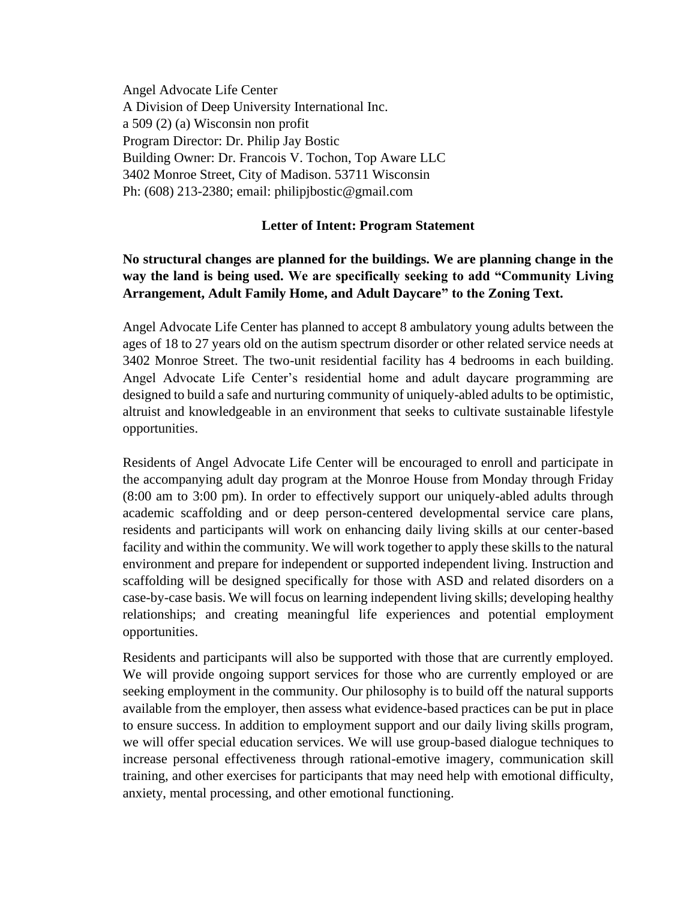Angel Advocate Life Center A Division of Deep University International Inc. a 509 (2) (a) Wisconsin non profit Program Director: Dr. Philip Jay Bostic Building Owner: Dr. Francois V. Tochon, Top Aware LLC 3402 Monroe Street, City of Madison. 53711 Wisconsin Ph: (608) 213-2380; email: philipjbostic@gmail.com

## **Letter of Intent: Program Statement**

## **No structural changes are planned for the buildings. We are planning change in the way the land is being used. We are specifically seeking to add "Community Living Arrangement, Adult Family Home, and Adult Daycare" to the Zoning Text.**

Angel Advocate Life Center has planned to accept 8 ambulatory young adults between the ages of 18 to 27 years old on the autism spectrum disorder or other related service needs at 3402 Monroe Street. The two-unit residential facility has 4 bedrooms in each building. Angel Advocate Life Center's residential home and adult daycare programming are designed to build a safe and nurturing community of uniquely-abled adults to be optimistic, altruist and knowledgeable in an environment that seeks to cultivate sustainable lifestyle opportunities.

Residents of Angel Advocate Life Center will be encouraged to enroll and participate in the accompanying adult day program at the Monroe House from Monday through Friday (8:00 am to 3:00 pm). In order to effectively support our uniquely-abled adults through academic scaffolding and or deep person-centered developmental service care plans, residents and participants will work on enhancing daily living skills at our center-based facility and within the community. We will work together to apply these skills to the natural environment and prepare for independent or supported independent living. Instruction and scaffolding will be designed specifically for those with ASD and related disorders on a case-by-case basis. We will focus on learning independent living skills; developing healthy relationships; and creating meaningful life experiences and potential employment opportunities.

Residents and participants will also be supported with those that are currently employed. We will provide ongoing support services for those who are currently employed or are seeking employment in the community. Our philosophy is to build off the natural supports available from the employer, then assess what evidence-based practices can be put in place to ensure success. In addition to employment support and our daily living skills program, we will offer special education services. We will use group-based dialogue techniques to increase personal effectiveness through rational-emotive imagery, communication skill training, and other exercises for participants that may need help with emotional difficulty, anxiety, mental processing, and other emotional functioning.